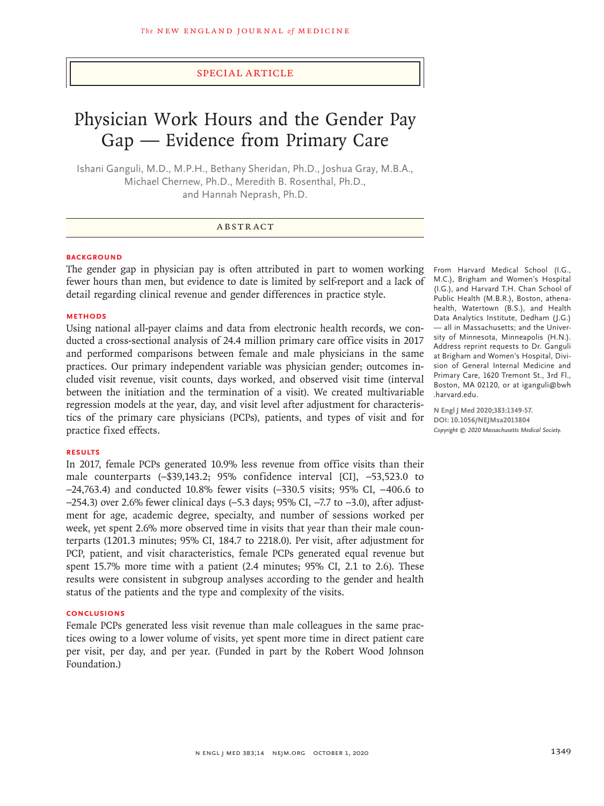## Special Article

# Physician Work Hours and the Gender Pay Gap — Evidence from Primary Care

Ishani Ganguli, M.D., M.P.H., Bethany Sheridan, Ph.D., Joshua Gray, M.B.A., Michael Chernew, Ph.D., Meredith B. Rosenthal, Ph.D., and Hannah Neprash, Ph.D.

#### **BACKGROUND**

The gender gap in physician pay is often attributed in part to women working fewer hours than men, but evidence to date is limited by self-report and a lack of detail regarding clinical revenue and gender differences in practice style.

#### **METHODS**

Using national all-payer claims and data from electronic health records, we conducted a cross-sectional analysis of 24.4 million primary care office visits in 2017 and performed comparisons between female and male physicians in the same practices. Our primary independent variable was physician gender; outcomes included visit revenue, visit counts, days worked, and observed visit time (interval between the initiation and the termination of a visit). We created multivariable regression models at the year, day, and visit level after adjustment for characteristics of the primary care physicians (PCPs), patients, and types of visit and for practice fixed effects.

#### **RESULTS**

In 2017, female PCPs generated 10.9% less revenue from office visits than their male counterparts (−\$39,143.2; 95% confidence interval [CI], −53,523.0 to −24,763.4) and conducted 10.8% fewer visits (−330.5 visits; 95% CI, −406.6 to −254.3) over 2.6% fewer clinical days (−5.3 days; 95% CI, −7.7 to −3.0), after adjustment for age, academic degree, specialty, and number of sessions worked per week, yet spent 2.6% more observed time in visits that year than their male counterparts (1201.3 minutes; 95% CI, 184.7 to 2218.0). Per visit, after adjustment for PCP, patient, and visit characteristics, female PCPs generated equal revenue but spent 15.7% more time with a patient (2.4 minutes; 95% CI, 2.1 to 2.6). These results were consistent in subgroup analyses according to the gender and health status of the patients and the type and complexity of the visits.

## **CONCLUSIONS**

Female PCPs generated less visit revenue than male colleagues in the same practices owing to a lower volume of visits, yet spent more time in direct patient care per visit, per day, and per year. (Funded in part by the Robert Wood Johnson Foundation.)

From Harvard Medical School (I.G., M.C.), Brigham and Women's Hospital (I.G.), and Harvard T.H. Chan School of Public Health (M.B.R.), Boston, athenahealth, Watertown (B.S.), and Health Data Analytics Institute, Dedham (J.G.) — all in Massachusetts; and the University of Minnesota, Minneapolis (H.N.). Address reprint requests to Dr. Ganguli at Brigham and Women's Hospital, Division of General Internal Medicine and Primary Care, 1620 Tremont St., 3rd Fl., Boston, MA 02120, or at iganguli@bwh .harvard.edu.

**N Engl J Med 2020;383:1349-57. DOI: 10.1056/NEJMsa2013804** *Copyright © 2020 Massachusetts Medical Society.*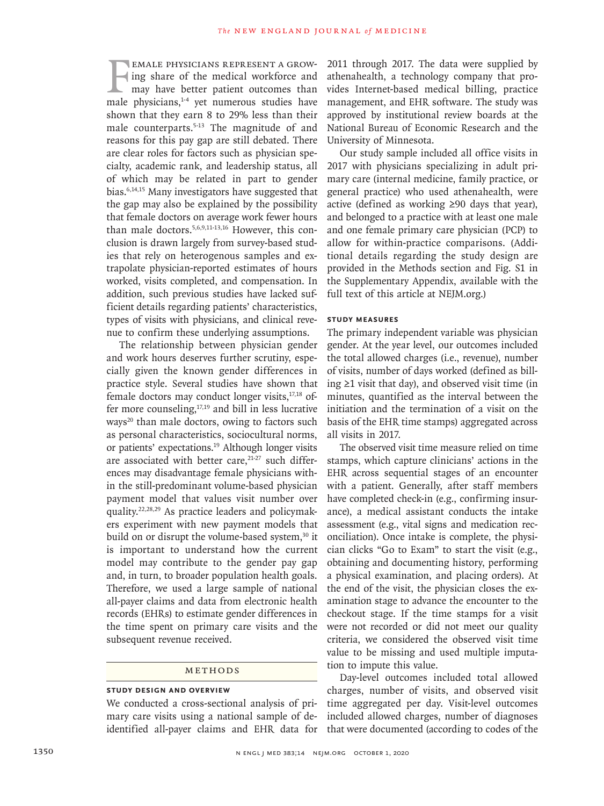**EMALE PHYSICIANS REPRESENT A GROWING STARK STARK STARK STARK STARK STARK STARK STARK STARK STARK STARK STARK STARK STARK STARK STARK STARK STARK STARK STARK STARK STARK STARK STARK STARK STARK STARK STARK STARK STARK STAR** emale physicians represent a growing share of the medical workforce and may have better patient outcomes than shown that they earn 8 to 29% less than their male counterparts.<sup>5-13</sup> The magnitude of and reasons for this pay gap are still debated. There are clear roles for factors such as physician specialty, academic rank, and leadership status, all of which may be related in part to gender bias.6,14,15 Many investigators have suggested that the gap may also be explained by the possibility that female doctors on average work fewer hours than male doctors.5,6,9,11-13,16 However, this conclusion is drawn largely from survey-based studies that rely on heterogenous samples and extrapolate physician-reported estimates of hours worked, visits completed, and compensation. In addition, such previous studies have lacked sufficient details regarding patients' characteristics, types of visits with physicians, and clinical revenue to confirm these underlying assumptions.

The relationship between physician gender and work hours deserves further scrutiny, especially given the known gender differences in practice style. Several studies have shown that female doctors may conduct longer visits,17,18 offer more counseling, $17,19$  and bill in less lucrative ways<sup>20</sup> than male doctors, owing to factors such as personal characteristics, sociocultural norms, or patients' expectations.<sup>19</sup> Although longer visits are associated with better care, $21-27$  such differences may disadvantage female physicians within the still-predominant volume-based physician payment model that values visit number over quality.22,28,29 As practice leaders and policymakers experiment with new payment models that build on or disrupt the volume-based system,<sup>30</sup> it is important to understand how the current model may contribute to the gender pay gap and, in turn, to broader population health goals. Therefore, we used a large sample of national all-payer claims and data from electronic health records (EHRs) to estimate gender differences in the time spent on primary care visits and the subsequent revenue received.

#### Methods

#### **Study Design and Overview**

We conducted a cross-sectional analysis of primary care visits using a national sample of deidentified all-payer claims and EHR data for 2011 through 2017. The data were supplied by athenahealth, a technology company that provides Internet-based medical billing, practice management, and EHR software. The study was approved by institutional review boards at the National Bureau of Economic Research and the University of Minnesota.

Our study sample included all office visits in 2017 with physicians specializing in adult primary care (internal medicine, family practice, or general practice) who used athenahealth, were active (defined as working ≥90 days that year), and belonged to a practice with at least one male and one female primary care physician (PCP) to allow for within-practice comparisons. (Additional details regarding the study design are provided in the Methods section and Fig. S1 in the Supplementary Appendix, available with the full text of this article at NEJM.org.)

#### **Study Measures**

The primary independent variable was physician gender. At the year level, our outcomes included the total allowed charges (i.e., revenue), number of visits, number of days worked (defined as billing ≥1 visit that day), and observed visit time (in minutes, quantified as the interval between the initiation and the termination of a visit on the basis of the EHR time stamps) aggregated across all visits in 2017.

The observed visit time measure relied on time stamps, which capture clinicians' actions in the EHR across sequential stages of an encounter with a patient. Generally, after staff members have completed check-in (e.g., confirming insurance), a medical assistant conducts the intake assessment (e.g., vital signs and medication reconciliation). Once intake is complete, the physician clicks "Go to Exam" to start the visit (e.g., obtaining and documenting history, performing a physical examination, and placing orders). At the end of the visit, the physician closes the examination stage to advance the encounter to the checkout stage. If the time stamps for a visit were not recorded or did not meet our quality criteria, we considered the observed visit time value to be missing and used multiple imputation to impute this value.

Day-level outcomes included total allowed charges, number of visits, and observed visit time aggregated per day. Visit-level outcomes included allowed charges, number of diagnoses that were documented (according to codes of the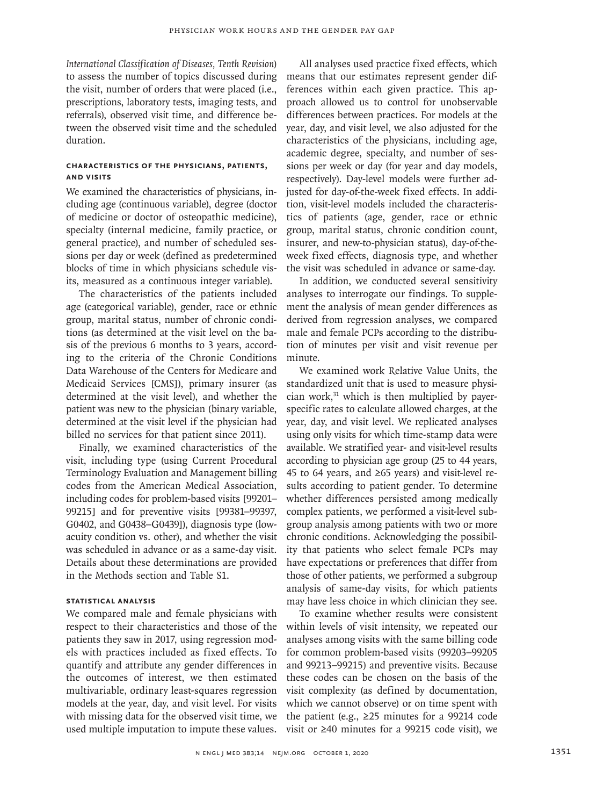*International Classification of Diseases, Tenth Revision*) to assess the number of topics discussed during the visit, number of orders that were placed (i.e., prescriptions, laboratory tests, imaging tests, and referrals), observed visit time, and difference between the observed visit time and the scheduled duration.

#### **Characteristics of the Physicians, Patients, and Visits**

We examined the characteristics of physicians, including age (continuous variable), degree (doctor of medicine or doctor of osteopathic medicine), specialty (internal medicine, family practice, or general practice), and number of scheduled sessions per day or week (defined as predetermined blocks of time in which physicians schedule visits, measured as a continuous integer variable).

The characteristics of the patients included age (categorical variable), gender, race or ethnic group, marital status, number of chronic conditions (as determined at the visit level on the basis of the previous 6 months to 3 years, according to the criteria of the Chronic Conditions Data Warehouse of the Centers for Medicare and Medicaid Services [CMS]), primary insurer (as determined at the visit level), and whether the patient was new to the physician (binary variable, determined at the visit level if the physician had billed no services for that patient since 2011).

Finally, we examined characteristics of the visit, including type (using Current Procedural Terminology Evaluation and Management billing codes from the American Medical Association, including codes for problem-based visits [99201– 99215] and for preventive visits [99381–99397, G0402, and G0438–G0439]), diagnosis type (lowacuity condition vs. other), and whether the visit was scheduled in advance or as a same-day visit. Details about these determinations are provided in the Methods section and Table S1.

## **Statistical Analysis**

We compared male and female physicians with respect to their characteristics and those of the patients they saw in 2017, using regression models with practices included as fixed effects. To quantify and attribute any gender differences in the outcomes of interest, we then estimated multivariable, ordinary least-squares regression models at the year, day, and visit level. For visits with missing data for the observed visit time, we used multiple imputation to impute these values.

All analyses used practice fixed effects, which means that our estimates represent gender differences within each given practice. This approach allowed us to control for unobservable differences between practices. For models at the year, day, and visit level, we also adjusted for the characteristics of the physicians, including age, academic degree, specialty, and number of sessions per week or day (for year and day models, respectively). Day-level models were further adjusted for day-of-the-week fixed effects. In addition, visit-level models included the characteristics of patients (age, gender, race or ethnic group, marital status, chronic condition count, insurer, and new-to-physician status), day-of-theweek fixed effects, diagnosis type, and whether the visit was scheduled in advance or same-day.

In addition, we conducted several sensitivity analyses to interrogate our findings. To supplement the analysis of mean gender differences as derived from regression analyses, we compared male and female PCPs according to the distribution of minutes per visit and visit revenue per minute.

We examined work Relative Value Units, the standardized unit that is used to measure physician work, $31$  which is then multiplied by payerspecific rates to calculate allowed charges, at the year, day, and visit level. We replicated analyses using only visits for which time-stamp data were available. We stratified year- and visit-level results according to physician age group (25 to 44 years, 45 to 64 years, and ≥65 years) and visit-level results according to patient gender. To determine whether differences persisted among medically complex patients, we performed a visit-level subgroup analysis among patients with two or more chronic conditions. Acknowledging the possibility that patients who select female PCPs may have expectations or preferences that differ from those of other patients, we performed a subgroup analysis of same-day visits, for which patients may have less choice in which clinician they see.

To examine whether results were consistent within levels of visit intensity, we repeated our analyses among visits with the same billing code for common problem-based visits (99203–99205 and 99213–99215) and preventive visits. Because these codes can be chosen on the basis of the visit complexity (as defined by documentation, which we cannot observe) or on time spent with the patient (e.g., ≥25 minutes for a 99214 code visit or ≥40 minutes for a 99215 code visit), we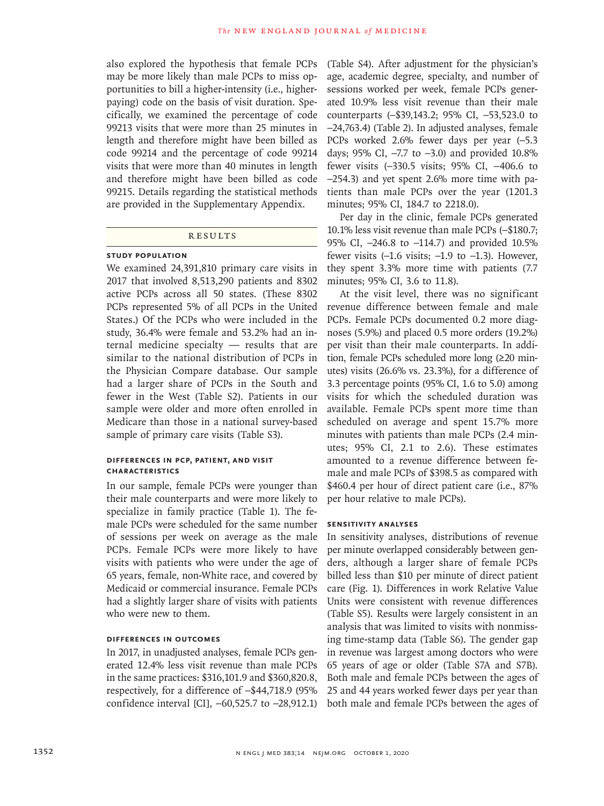also explored the hypothesis that female PCPs may be more likely than male PCPs to miss opportunities to bill a higher-intensity (i.e., higherpaying) code on the basis of visit duration. Specifically, we examined the percentage of code 99213 visits that were more than 25 minutes in length and therefore might have been billed as code 99214 and the percentage of code 99214 visits that were more than 40 minutes in length and therefore might have been billed as code 99215. Details regarding the statistical methods are provided in the Supplementary Appendix.

#### **RESULTS**

#### **Study Population**

We examined 24,391,810 primary care visits in 2017 that involved 8,513,290 patients and 8302 active PCPs across all 50 states. (These 8302 PCPs represented 5% of all PCPs in the United States.) Of the PCPs who were included in the study, 36.4% were female and 53.2% had an internal medicine specialty — results that are similar to the national distribution of PCPs in the Physician Compare database. Our sample had a larger share of PCPs in the South and fewer in the West (Table S2). Patients in our sample were older and more often enrolled in Medicare than those in a national survey-based sample of primary care visits (Table S3).

#### **Differences in PCP, Patient, and Visit Characteristics**

In our sample, female PCPs were younger than their male counterparts and were more likely to specialize in family practice (Table 1). The female PCPs were scheduled for the same number of sessions per week on average as the male PCPs. Female PCPs were more likely to have visits with patients who were under the age of 65 years, female, non-White race, and covered by Medicaid or commercial insurance. Female PCPs had a slightly larger share of visits with patients who were new to them.

## **Differences in Outcomes**

In 2017, in unadjusted analyses, female PCPs generated 12.4% less visit revenue than male PCPs in the same practices: \$316,101.9 and \$360,820.8, respectively, for a difference of −\$44,718.9 (95% confidence interval [CI], −60,525.7 to −28,912.1) (Table S4). After adjustment for the physician's age, academic degree, specialty, and number of sessions worked per week, female PCPs generated 10.9% less visit revenue than their male counterparts (−\$39,143.2; 95% CI, −53,523.0 to −24,763.4) (Table 2). In adjusted analyses, female PCPs worked 2.6% fewer days per year (−5.3 days; 95% CI, −7.7 to −3.0) and provided 10.8% fewer visits (−330.5 visits; 95% CI, −406.6 to −254.3) and yet spent 2.6% more time with patients than male PCPs over the year (1201.3 minutes; 95% CI, 184.7 to 2218.0).

Per day in the clinic, female PCPs generated 10.1% less visit revenue than male PCPs (−\$180.7; 95% CI, -246.8 to -114.7) and provided 10.5% fewer visits  $(-1.6 \text{ visits}; -1.9 \text{ to } -1.3)$ . However, they spent 3.3% more time with patients (7.7 minutes; 95% CI, 3.6 to 11.8).

At the visit level, there was no significant revenue difference between female and male PCPs. Female PCPs documented 0.2 more diagnoses (5.9%) and placed 0.5 more orders (19.2%) per visit than their male counterparts. In addition, female PCPs scheduled more long (≥20 minutes) visits (26.6% vs. 23.3%), for a difference of 3.3 percentage points (95% CI, 1.6 to 5.0) among visits for which the scheduled duration was available. Female PCPs spent more time than scheduled on average and spent 15.7% more minutes with patients than male PCPs (2.4 minutes; 95% CI, 2.1 to 2.6). These estimates amounted to a revenue difference between female and male PCPs of \$398.5 as compared with \$460.4 per hour of direct patient care (i.e., 87% per hour relative to male PCPs).

#### **Sensitivity Analyses**

In sensitivity analyses, distributions of revenue per minute overlapped considerably between genders, although a larger share of female PCPs billed less than \$10 per minute of direct patient care (Fig. 1). Differences in work Relative Value Units were consistent with revenue differences (Table S5). Results were largely consistent in an analysis that was limited to visits with nonmissing time-stamp data (Table S6). The gender gap in revenue was largest among doctors who were 65 years of age or older (Table S7A and S7B). Both male and female PCPs between the ages of 25 and 44 years worked fewer days per year than both male and female PCPs between the ages of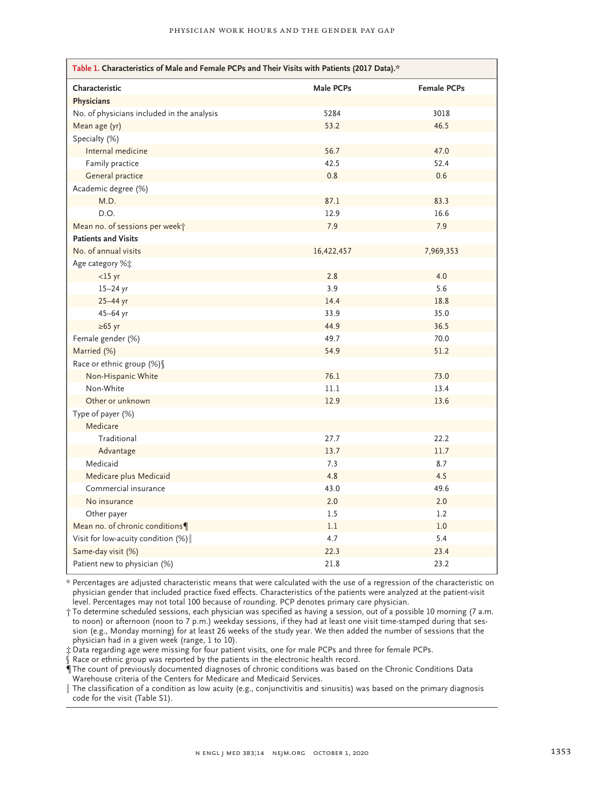| Table 1. Characteristics of Male and Female PCPs and Their Visits with Patients (2017 Data).* |            |                    |  |
|-----------------------------------------------------------------------------------------------|------------|--------------------|--|
| Characteristic                                                                                | Male PCPs  | <b>Female PCPs</b> |  |
| Physicians                                                                                    |            |                    |  |
| No. of physicians included in the analysis                                                    | 5284       | 3018               |  |
| Mean age (yr)                                                                                 | 53.2       | 46.5               |  |
| Specialty (%)                                                                                 |            |                    |  |
| Internal medicine                                                                             | 56.7       | 47.0               |  |
| Family practice                                                                               | 42.5       | 52.4               |  |
| General practice                                                                              | 0.8        | 0.6                |  |
| Academic degree (%)                                                                           |            |                    |  |
| M.D.                                                                                          | 87.1       | 83.3               |  |
| D.O.                                                                                          | 12.9       | 16.6               |  |
| Mean no. of sessions per week†                                                                | 7.9        | 7.9                |  |
| <b>Patients and Visits</b>                                                                    |            |                    |  |
| No. of annual visits                                                                          | 16,422,457 | 7,969,353          |  |
| Age category %:                                                                               |            |                    |  |
| $<$ 15 yr                                                                                     | 2.8        | 4.0                |  |
| $15-24$ yr                                                                                    | 3.9        | 5.6                |  |
| 25-44 yr                                                                                      | 14.4       | 18.8               |  |
| 45-64 yr                                                                                      | 33.9       | 35.0               |  |
| $\geq 65$ yr                                                                                  | 44.9       | 36.5               |  |
| Female gender (%)                                                                             | 49.7       | 70.0               |  |
| Married (%)                                                                                   | 54.9       | 51.2               |  |
| Race or ethnic group (%) §                                                                    |            |                    |  |
| Non-Hispanic White                                                                            | 76.1       | 73.0               |  |
| Non-White                                                                                     | 11.1       | 13.4               |  |
| Other or unknown                                                                              | 12.9       | 13.6               |  |
| Type of payer (%)                                                                             |            |                    |  |
| Medicare                                                                                      |            |                    |  |
| Traditional                                                                                   | 27.7       | 22.2               |  |
| Advantage                                                                                     | 13.7       | 11.7               |  |
| Medicaid                                                                                      | 7.3        | 8.7                |  |
| Medicare plus Medicaid                                                                        | 4.8        | 4.5                |  |
| Commercial insurance                                                                          | 43.0       | 49.6               |  |
| No insurance                                                                                  | 2.0        | 2.0                |  |
| Other payer                                                                                   | 1.5        | 1.2                |  |
| Mean no. of chronic conditions¶                                                               | 1.1        | 1.0                |  |
| Visit for low-acuity condition (%)                                                            | 4.7        | 5.4                |  |
| Same-day visit (%)                                                                            | 22.3       | 23.4               |  |
| Patient new to physician (%)                                                                  | 21.8       | 23.2               |  |

\* Percentages are adjusted characteristic means that were calculated with the use of a regression of the characteristic on physician gender that included practice fixed effects. Characteristics of the patients were analyzed at the patient-visit level. Percentages may not total 100 because of rounding. PCP denotes primary care physician.

† To determine scheduled sessions, each physician was specified as having a session, out of a possible 10 morning (7 a.m. to noon) or afternoon (noon to 7 p.m.) weekday sessions, if they had at least one visit time-stamped during that session (e.g., Monday morning) for at least 26 weeks of the study year. We then added the number of sessions that the physician had in a given week (range, 1 to 10).

‡ Data regarding age were missing for four patient visits, one for male PCPs and three for female PCPs.

Race or ethnic group was reported by the patients in the electronic health record.

¶ The count of previously documented diagnoses of chronic conditions was based on the Chronic Conditions Data Warehouse criteria of the Centers for Medicare and Medicaid Services.

The classification of a condition as low acuity (e.g., conjunctivitis and sinusitis) was based on the primary diagnosis code for the visit (Table S1).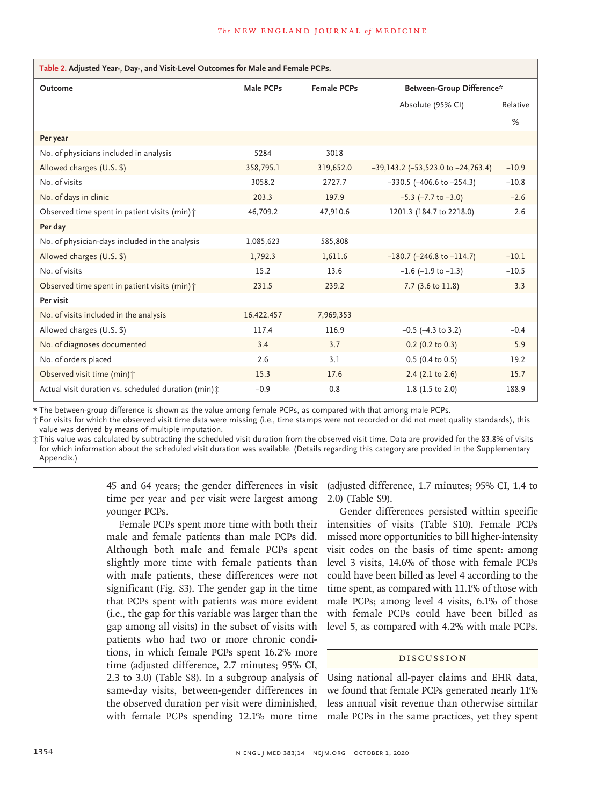| Table 2. Adjusted Year-, Day-, and Visit-Level Outcomes for Male and Female PCPs. |            |                    |                                            |          |  |  |
|-----------------------------------------------------------------------------------|------------|--------------------|--------------------------------------------|----------|--|--|
| Outcome                                                                           | Male PCPs  | <b>Female PCPs</b> | Between-Group Difference*                  |          |  |  |
|                                                                                   |            |                    | Absolute (95% CI)                          | Relative |  |  |
|                                                                                   |            |                    |                                            | %        |  |  |
| Per year                                                                          |            |                    |                                            |          |  |  |
| No. of physicians included in analysis                                            | 5284       | 3018               |                                            |          |  |  |
| Allowed charges (U.S. \$)                                                         | 358,795.1  | 319,652.0          | $-39,143.2$ ( $-53,523.0$ to $-24,763.4$ ) | $-10.9$  |  |  |
| No. of visits                                                                     | 3058.2     | 2727.7             | $-330.5$ ( $-406.6$ to $-254.3$ )          | $-10.8$  |  |  |
| No. of days in clinic                                                             | 203.3      | 197.9              | $-5.3$ ( $-7.7$ to $-3.0$ )                | $-2.6$   |  |  |
| Observed time spent in patient visits (min) +                                     | 46,709.2   | 47,910.6           | 1201.3 (184.7 to 2218.0)                   | 2.6      |  |  |
| Per day                                                                           |            |                    |                                            |          |  |  |
| No. of physician-days included in the analysis                                    | 1,085,623  | 585,808            |                                            |          |  |  |
| Allowed charges (U.S. \$)                                                         | 1,792.3    | 1,611.6            | $-180.7$ ( $-246.8$ to $-114.7$ )          | $-10.1$  |  |  |
| No. of visits                                                                     | 15.2       | 13.6               | $-1.6$ ( $-1.9$ to $-1.3$ )                | $-10.5$  |  |  |
| Observed time spent in patient visits (min) +                                     | 231.5      | 239.2              | 7.7 (3.6 to 11.8)                          | 3.3      |  |  |
| Per visit                                                                         |            |                    |                                            |          |  |  |
| No. of visits included in the analysis                                            | 16,422,457 | 7,969,353          |                                            |          |  |  |
| Allowed charges (U.S. \$)                                                         | 117.4      | 116.9              | $-0.5$ ( $-4.3$ to 3.2)                    | $-0.4$   |  |  |
| No. of diagnoses documented                                                       | 3.4        | 3.7                | $0.2$ (0.2 to 0.3)                         | 5.9      |  |  |
| No. of orders placed                                                              | 2.6        | 3.1                | $0.5$ (0.4 to 0.5)                         | 19.2     |  |  |
| Observed visit time (min)+                                                        | 15.3       | 17.6               | 2.4 (2.1 to 2.6)                           | 15.7     |  |  |
| Actual visit duration vs. scheduled duration (min):                               | $-0.9$     | 0.8                | 1.8 $(1.5 \text{ to } 2.0)$                | 188.9    |  |  |

\* The between-group difference is shown as the value among female PCPs, as compared with that among male PCPs.

† For visits for which the observed visit time data were missing (i.e., time stamps were not recorded or did not meet quality standards), this value was derived by means of multiple imputation.

‡ This value was calculated by subtracting the scheduled visit duration from the observed visit time. Data are provided for the 83.8% of visits for which information about the scheduled visit duration was available. (Details regarding this category are provided in the Supplementary Appendix.)

> 45 and 64 years; the gender differences in visit time per year and per visit were largest among younger PCPs.

Female PCPs spent more time with both their male and female patients than male PCPs did. Although both male and female PCPs spent slightly more time with female patients than with male patients, these differences were not significant (Fig. S3). The gender gap in the time that PCPs spent with patients was more evident (i.e., the gap for this variable was larger than the gap among all visits) in the subset of visits with patients who had two or more chronic conditions, in which female PCPs spent 16.2% more time (adjusted difference, 2.7 minutes; 95% CI, 2.3 to 3.0) (Table S8). In a subgroup analysis of same-day visits, between-gender differences in the observed duration per visit were diminished, with female PCPs spending 12.1% more time

(adjusted difference, 1.7 minutes; 95% CI, 1.4 to 2.0) (Table S9).

Gender differences persisted within specific intensities of visits (Table S10). Female PCPs missed more opportunities to bill higher-intensity visit codes on the basis of time spent: among level 3 visits, 14.6% of those with female PCPs could have been billed as level 4 according to the time spent, as compared with 11.1% of those with male PCPs; among level 4 visits, 6.1% of those with female PCPs could have been billed as level 5, as compared with 4.2% with male PCPs.

## Discussion

Using national all-payer claims and EHR data, we found that female PCPs generated nearly 11% less annual visit revenue than otherwise similar male PCPs in the same practices, yet they spent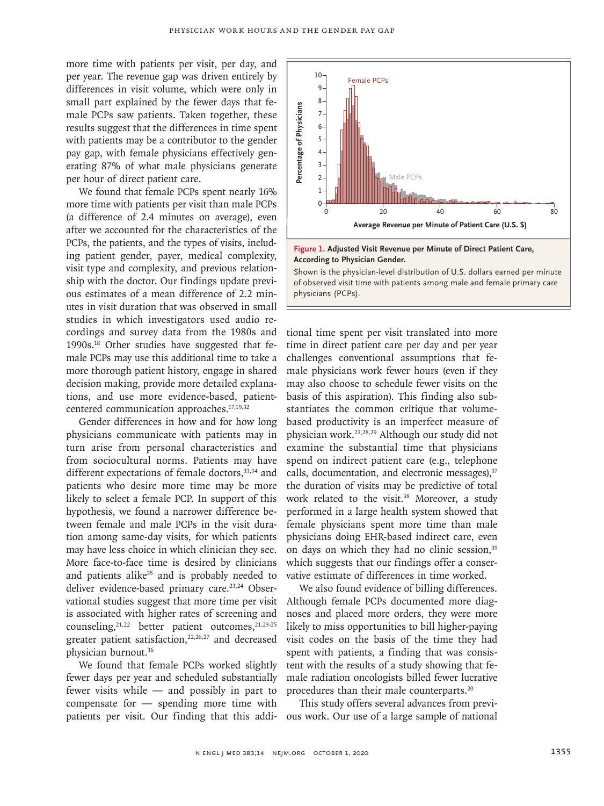more time with patients per visit, per day, and per year. The revenue gap was driven entirely by differences in visit volume, which were only in small part explained by the fewer days that female PCPs saw patients. Taken together, these results suggest that the differences in time spent with patients may be a contributor to the gender pay gap, with female physicians effectively generating 87% of what male physicians generate per hour of direct patient care.

We found that female PCPs spent nearly 16% more time with patients per visit than male PCPs (a difference of 2.4 minutes on average), even after we accounted for the characteristics of the PCPs, the patients, and the types of visits, including patient gender, payer, medical complexity, visit type and complexity, and previous relationship with the doctor. Our findings update previous estimates of a mean difference of 2.2 minutes in visit duration that was observed in small studies in which investigators used audio recordings and survey data from the 1980s and 1990s.18 Other studies have suggested that female PCPs may use this additional time to take a more thorough patient history, engage in shared decision making, provide more detailed explanations, and use more evidence-based, patientcentered communication approaches.17,19,32

Gender differences in how and for how long physicians communicate with patients may in turn arise from personal characteristics and from sociocultural norms. Patients may have different expectations of female doctors,<sup>33,34</sup> and patients who desire more time may be more likely to select a female PCP. In support of this hypothesis, we found a narrower difference between female and male PCPs in the visit duration among same-day visits, for which patients may have less choice in which clinician they see. More face-to-face time is desired by clinicians and patients alike<sup>35</sup> and is probably needed to deliver evidence-based primary care.<sup>23,24</sup> Observational studies suggest that more time per visit is associated with higher rates of screening and counseling,  $21,22$  better patient outcomes,  $21,23-25$ greater patient satisfaction,<sup>22,26,27</sup> and decreased physician burnout.36

We found that female PCPs worked slightly fewer days per year and scheduled substantially fewer visits while — and possibly in part to compensate for — spending more time with patients per visit. Our finding that this addi-





the duration of visits may be predictive of total work related to the visit.<sup>38</sup> Moreover, a study performed in a large health system showed that female physicians spent more time than male physicians doing EHR-based indirect care, even on days on which they had no clinic session,<sup>39</sup> which suggests that our findings offer a conservative estimate of differences in time worked.

We also found evidence of billing differences. Although female PCPs documented more diagnoses and placed more orders, they were more likely to miss opportunities to bill higher-paying visit codes on the basis of the time they had spent with patients, a finding that was consistent with the results of a study showing that female radiation oncologists billed fewer lucrative procedures than their male counterparts.<sup>20</sup>

This study offers several advances from previous work. Our use of a large sample of national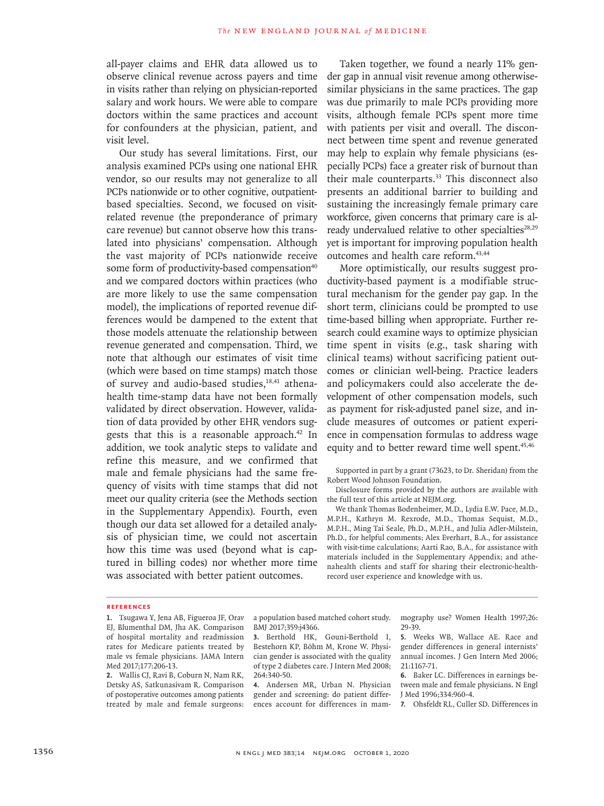all-payer claims and EHR data allowed us to observe clinical revenue across payers and time in visits rather than relying on physician-reported salary and work hours. We were able to compare doctors within the same practices and account for confounders at the physician, patient, and visit level.

Our study has several limitations. First, our analysis examined PCPs using one national EHR vendor, so our results may not generalize to all PCPs nationwide or to other cognitive, outpatientbased specialties. Second, we focused on visitrelated revenue (the preponderance of primary care revenue) but cannot observe how this translated into physicians' compensation. Although the vast majority of PCPs nationwide receive some form of productivity-based compensation<sup>40</sup> and we compared doctors within practices (who are more likely to use the same compensation model), the implications of reported revenue differences would be dampened to the extent that those models attenuate the relationship between revenue generated and compensation. Third, we note that although our estimates of visit time (which were based on time stamps) match those of survey and audio-based studies,<sup>18,41</sup> athenahealth time-stamp data have not been formally validated by direct observation. However, validation of data provided by other EHR vendors suggests that this is a reasonable approach.<sup>42</sup> In addition, we took analytic steps to validate and refine this measure, and we confirmed that male and female physicians had the same frequency of visits with time stamps that did not meet our quality criteria (see the Methods section in the Supplementary Appendix). Fourth, even though our data set allowed for a detailed analysis of physician time, we could not ascertain how this time was used (beyond what is captured in billing codes) nor whether more time was associated with better patient outcomes.

Taken together, we found a nearly 11% gender gap in annual visit revenue among otherwisesimilar physicians in the same practices. The gap was due primarily to male PCPs providing more visits, although female PCPs spent more time with patients per visit and overall. The disconnect between time spent and revenue generated may help to explain why female physicians (especially PCPs) face a greater risk of burnout than their male counterparts.<sup>33</sup> This disconnect also presents an additional barrier to building and sustaining the increasingly female primary care workforce, given concerns that primary care is already undervalued relative to other specialties<sup>28,29</sup> yet is important for improving population health outcomes and health care reform.<sup>43,44</sup>

More optimistically, our results suggest productivity-based payment is a modifiable structural mechanism for the gender pay gap. In the short term, clinicians could be prompted to use time-based billing when appropriate. Further research could examine ways to optimize physician time spent in visits (e.g., task sharing with clinical teams) without sacrificing patient outcomes or clinician well-being. Practice leaders and policymakers could also accelerate the development of other compensation models, such as payment for risk-adjusted panel size, and include measures of outcomes or patient experience in compensation formulas to address wage equity and to better reward time well spent.<sup>45,46</sup>

Supported in part by a grant (73623, to Dr. Sheridan) from the Robert Wood Johnson Foundation.

Disclosure forms provided by the authors are available with the full text of this article at NEJM.org.

We thank Thomas Bodenheimer, M.D., Lydia E.W. Pace, M.D., M.P.H., Kathryn M. Rexrode, M.D., Thomas Sequist, M.D., M.P.H., Ming Tai Seale, Ph.D., M.P.H., and Julia Adler-Milstein, Ph.D., for helpful comments; Alex Everhart, B.A., for assistance with visit-time calculations; Aarti Rao, B.A., for assistance with materials included in the Supplementary Appendix; and athenahealth clients and staff for sharing their electronic-healthrecord user experience and knowledge with us.

#### **References**

**1.** Tsugawa Y, Jena AB, Figueroa JF, Orav EJ, Blumenthal DM, Jha AK. Comparison of hospital mortality and readmission rates for Medicare patients treated by male vs female physicians. JAMA Intern Med 2017;177:206-13.

**2.** Wallis CJ, Ravi B, Coburn N, Nam RK, Detsky AS, Satkunasivam R. Comparison of postoperative outcomes among patients treated by male and female surgeons:

a population based matched cohort study. BMJ 2017;359:j4366.

**3.** Berthold HK, Gouni-Berthold I, Bestehorn KP, Böhm M, Krone W. Physician gender is associated with the quality of type 2 diabetes care. J Intern Med 2008; 264:340-50.

**4.** Andersen MR, Urban N. Physician gender and screening: do patient differences account for differences in mammography use? Women Health 1997;26: 29-39.

**5.** Weeks WB, Wallace AE. Race and gender differences in general internists' annual incomes. J Gen Intern Med 2006; 21:1167-71.

**6.** Baker LC. Differences in earnings between male and female physicians. N Engl J Med 1996;334:960-4.

**7.** Ohsfeldt RL, Culler SD. Differences in